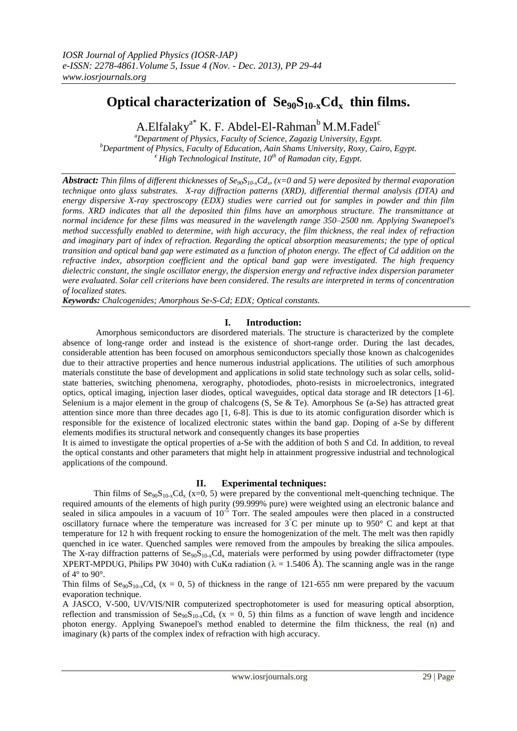# Optical characterization of  $\text{Seq}_0\text{S}_{10-x}\text{Cd}_x$  thin films.

A.Elfalaky<sup>a\*</sup> K. F. Abdel-El-Rahman<sup>b</sup> M.M.Fadel<sup>c</sup>

*<sup>a</sup>Department of Physics, Faculty of Science, Zagazig University, Egypt. <sup>b</sup>Department of Physics, Faculty of Education, Aain Shams University, Roxy, Cairo, Egypt. <sup>c</sup> High Technological Institute, 10th of Ramadan city, Egypt.*

*Abstract: Thin films of different thicknesses of Se90S10-xCd<sup>x</sup> , (x=0 and 5) were deposited by thermal evaporation technique onto glass substrates. X-ray diffraction patterns (XRD), differential thermal analysis (DTA) and energy dispersive X-ray spectroscopy (EDX) studies were carried out for samples in powder and thin film forms. XRD indicates that all the deposited thin films have an amorphous structure. The transmittance at normal incidence for these films was measured in the wavelength range 350–2500 nm. Applying Swanepoel's method successfully enabled to determine, with high accuracy, the film thickness, the real index of refraction and imaginary part of index of refraction. Regarding the optical absorption measurements; the type of optical transition and optical band gap were estimated as a function of photon energy. The effect of Cd addition on the refractive index, absorption coefficient and the optical band gap were investigated. The high frequency dielectric constant, the single oscillator energy, the dispersion energy and refractive index dispersion parameter were evaluated. Solar cell criterions have been considered. The results are interpreted in terms of concentration of localized states.*

*Keywords: Chalcogenides; Amorphous Se-S-Cd; EDX; Optical constants.*

# **I. Introduction:**

Amorphous semiconductors are disordered materials. The structure is characterized by the complete absence of long-range order and instead is the existence of short-range order. During the last decades, considerable attention has been focused on amorphous semiconductors specially those known as chalcogenides due to their attractive properties and hence numerous industrial applications. The utilities of such amorphous materials constitute the base of development and applications in solid state technology such as solar cells, solidstate batteries, switching phenomena, xerography, photodiodes, photo-resists in microelectronics, integrated optics, optical imaging, injection laser diodes, optical waveguides, optical data storage and IR detectors [1-6]. Selenium is a major element in the group of chalcogens (S, Se & Te). Amorphous Se (a-Se) has attracted great attention since more than three decades ago [1, 6-8]. This is due to its atomic configuration disorder which is responsible for the existence of localized electronic states within the band gap. Doping of a-Se by different elements modifies its structural network and consequently changes its base properties

It is aimed to investigate the optical properties of a-Se with the addition of both S and Cd. In addition, to reveal the optical constants and other parameters that might help in attainment progressive industrial and technological applications of the compound.

# **II. Experimental techniques:**

Thin films of  $\text{Se}_{90}\text{S}_{10-x}\text{Cd}_x$  (x=0, 5) were prepared by the conventional melt-quenching technique. The required amounts of the elements of high purity (99.999% pure) were weighted using an electronic balance and sealed in silica ampoules in a vacuum of  $10^{-5}$  Torr. The sealed ampoules were then placed in a constructed oscillatory furnace where the temperature was increased for  $3^{\circ}$ C per minute up to 950° C and kept at that temperature for 12 h with frequent rocking to ensure the homogenization of the melt. The melt was then rapidly quenched in ice water. Quenched samples were removed from the ampoules by breaking the silica ampoules. The X-ray diffraction patterns of  $\text{Se}_{90}\text{S}_{10-x}\text{Cd}_x$  materials were performed by using powder diffractometer (type XPERT-MPDUG, Philips PW 3040) with CuK $\alpha$  radiation ( $\lambda = 1.5406$  Å). The scanning angle was in the range of 4° to 90°.

Thin films of  $\text{Se}_{90}\text{S}_{10-x}\text{Cd}_x$  (x = 0, 5) of thickness in the range of 121-655 nm were prepared by the vacuum evaporation technique.

A JASCO, V-500, UV/VIS/NIR computerized spectrophotometer is used for measuring optical absorption, reflection and transmission of  $\text{Seq}_9S_{10x}Cd_x$  (x = 0, 5) thin films as a function of wave length and incidence photon energy. Applying Swanepoel's method enabled to determine the film thickness, the real (n) and imaginary (k) parts of the complex index of refraction with high accuracy.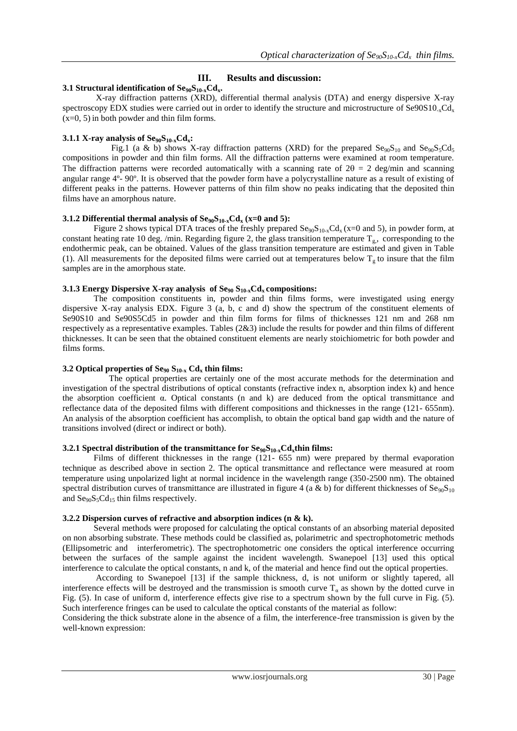# **III. Results and discussion:**

### **3.1 Structural identification of Se90S10-xCdx.**

X-ray diffraction patterns (XRD), differential thermal analysis (DTA) and energy dispersive X-ray spectroscopy EDX studies were carried out in order to identify the structure and microstructure of  $\text{Se90S10}_{x} \text{Cd}_{x}$ (x=0, 5) in both powder and thin film forms.

# **3.1.1 X-ray analysis of**  $\text{Se}_{90}\text{S}_{10-x}\text{Cd}_{x}$

Fig.1 (a & b) shows X-ray diffraction patterns (XRD) for the prepared  $\text{Se}_{90}\text{S}_{10}$  and  $\text{Se}_{90}\text{S}_{5}\text{Cd}_{5}$ compositions in powder and thin film forms. All the diffraction patterns were examined at room temperature. The diffraction patterns were recorded automatically with a scanning rate of  $2\theta = 2$  deg/min and scanning angular range 4º- 90º. It is observed that the powder form have a polycrystalline nature as a result of existing of different peaks in the patterns. However patterns of thin film show no peaks indicating that the deposited thin films have an amorphous nature.

### **3.1.2 Differential thermal analysis of**  $\text{Se}_{90}\text{S}_{10-x}\text{Cd}_x$  **(x=0 and 5):**

Figure 2 shows typical DTA traces of the freshly prepared  $\text{Seq}_9\text{Sq}_0\text{G}_4(x=0)$  and 5), in powder form, at constant heating rate 10 deg. /min. Regarding figure 2, the glass transition temperature  $T_{g}$ , corresponding to the endothermic peak, can be obtained. Values of the glass transition temperature are estimated and given in Table (1). All measurements for the deposited films were carried out at temperatures below  $T_g$  to insure that the film samples are in the amorphous state.

### **3.1.3 Energy Dispersive X-ray analysis of Se<sup>90</sup> S10-xCd<sup>x</sup> compositions:**

The composition constituents in, powder and thin films forms, were investigated using energy dispersive X-ray analysis EDX. Figure 3 (a, b, c and d) show the spectrum of the constituent elements of Se90S10 and Se90S5Cd5 in powder and thin film forms for films of thicknesses 121 nm and 268 nm respectively as a representative examples. Tables (2&3) include the results for powder and thin films of different thicknesses. It can be seen that the obtained constituent elements are nearly stoichiometric for both powder and films forms.

### **3.2 Optical properties of Se<sup>90</sup> S10-x Cd<sup>x</sup> thin films:**

 The optical properties are certainly one of the most accurate methods for the determination and investigation of the spectral distributions of optical constants (refractive index n, absorption index k) and hence the absorption coefficient α. Optical constants (n and k) are deduced from the optical transmittance and reflectance data of the deposited films with different compositions and thicknesses in the range (121- 655nm). An analysis of the absorption coefficient has accomplish, to obtain the optical band gap width and the nature of transitions involved (direct or indirect or both).

### **3.2.1 Spectral distribution of the transmittance for Se90S10-xCdxthin films:**

Films of different thicknesses in the range (121- 655 nm) were prepared by thermal evaporation technique as described above in section 2. The optical transmittance and reflectance were measured at room temperature using unpolarized light at normal incidence in the wavelength range (350-2500 nm). The obtained spectral distribution curves of transmittance are illustrated in figure 4 (a & b) for different thicknesses of  $\text{Se}_{90}\text{S}_{10}$ and  $\text{Se}_{90}\text{S}_{5}\text{Cd}_{15}$  thin films respectively.

### **3.2.2 Dispersion curves of refractive and absorption indices (n & k).**

Several methods were proposed for calculating the optical constants of an absorbing material deposited on non absorbing substrate. These methods could be classified as, polarimetric and spectrophotometric methods (Ellipsometric and interferometric). The spectrophotometric one considers the optical interference occurring between the surfaces of the sample against the incident wavelength. Swanepoel [13] used this optical interference to calculate the optical constants, n and k, of the material and hence find out the optical properties.

According to Swanepoel [13] if the sample thickness, d, is not uniform or slightly tapered, all interference effects will be destroyed and the transmission is smooth curve  $T_a$  as shown by the dotted curve in Fig. (5). In case of uniform d, interference effects give rise to a spectrum shown by the full curve in Fig. (5). Such interference fringes can be used to calculate the optical constants of the material as follow:

Considering the thick substrate alone in the absence of a film, the interference-free transmission is given by the well-known expression: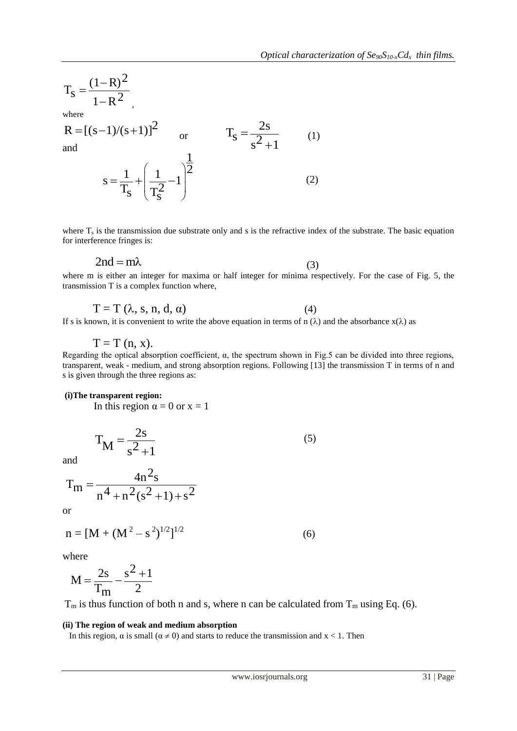$$
T_S = \frac{(1 - R)^2}{1 - R^2}
$$

,

where

R = [(s-1)/(s+1)]<sup>2</sup> or T<sub>S</sub> = 
$$
\frac{2s}{s^2 + 1}
$$
 (1)  
and  
 $s = \frac{1}{T_S} + (\frac{1}{T_S^2} - 1)^{\frac{1}{2}}$  (2)  
where T<sub>1</sub> is the transmission due substrate only and s is the refractive index of the substrate. The basic equation  
for interference fringes is:  
2nd = mλ  
where m is either an integer for maxima or half integer for minima respectively. For the case of Fig. 5, the  
transmission T is a complex function where,  
T = T (λ, s, n, d, α) (4)  
If s is known, it is convenient to write the above equation in terms of n (λ) and the absorbance x(λ) as  
T = T (n, x).  
Regarding the optical absorption coefficient, α, the spectrum shown in Fig.5 can be divided into three regions  
transparent, weak – medium, and strong absorption regions. Following [13] the transmission T in terms of n and  
is given through the three regions as:  
(i) The transparent region α = 0 or x = 1  
 $T_M = \frac{2s}{s^2 + 1}$  (5)  
and  
 $T_m = \frac{4n^2s}{n^4 + n^2(s^2 + 1) + s^2}$   
or  
n = [M + (M<sup>2</sup> - s<sup>2</sup>)<sup>1/2</sup>]<sup>1/2</sup> (6)  
where  
 $M = \frac{2s}{T_m} - \frac{s^2 + 1}{2}$   
 $T_m$  is thus function of both n and s, where n can be calculated from T<sub>m</sub> using Eq. (6).  
(ii) The region of weak and medium absorption  
in this region, a is small (α ≠ 0) and starts to reduce the transmission and x < 1. Then  
two/wasal (α ≠ 0) and starts to reduce the transmission and x < 1. Then  
two/wasal (α ≠ 0) and starts to reduce the transmission and x < 1. Then

where  $T_s$  is the transmission due substrate only and s is the refractive index of the substrate. The basic equation for interference fringes is:

$$
2nd = m\lambda \tag{3}
$$

where m is either an integer for maxima or half integer for minima respectively. For the case of Fig. 5, the transmission T is a complex function where,

$$
T = T (\lambda, s, n, d, \alpha) \tag{4}
$$

If s is known, it is convenient to write the above equation in terms of n  $(\lambda)$  and the absorbance  $x(\lambda)$  as

 $T = T(n, x)$ .

Regarding the optical absorption coefficient, α, the spectrum shown in Fig.5 can be divided into three regions, transparent, weak - medium, and strong absorption regions. Following [13] the transmission T in terms of n and s is given through the three regions as:

# **(i)The transparent region:**

In this region  $\alpha = 0$  or  $x = 1$ 

 $\lambda$ 

$$
T_{\mathbf{M}} = \frac{2s}{s^2 + 1} \tag{5}
$$

and

$$
T_m = \frac{4n^2s}{n^4 + n^2(s^2 + 1) + s^2}
$$

or

$$
n = [M + (M2 - s2)1/2]
$$
 (6)

where

$$
M = \frac{2s}{T_m} - \frac{s^2 + 1}{2}
$$

 $T_m$  is thus function of both n and s, where n can be calculated from  $T_m$  using Eq. (6).

### **(ii) The region of weak and medium absorption**

In this region,  $\alpha$  is small ( $\alpha \neq 0$ ) and starts to reduce the transmission and  $x < 1$ . Then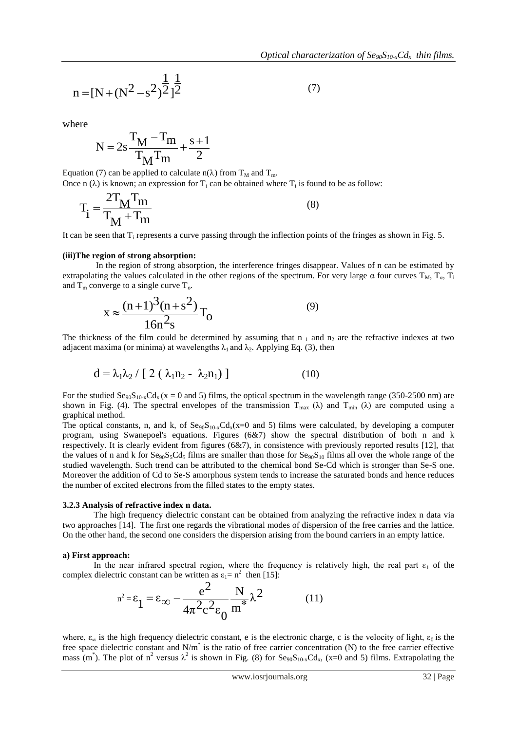$$
n = [N + (N2 - s2)\frac{1}{2}]2
$$
 (7)

where

$$
N=2s\frac{T_M-T_m}{T_M T_m}+\frac{s+1}{2}
$$

Equation (7) can be applied to calculate  $n(\lambda)$  from T<sub>M</sub> and T<sub>m</sub>. Once n  $(\lambda)$  is known; an expression for T<sub>i</sub> can be obtained where T<sub>i</sub> is found to be as follow:

$$
T_i = \frac{2T_M T_m}{T_M + T_m}
$$
\n(8)

It can be seen that  $T_i$  represents a curve passing through the inflection points of the fringes as shown in Fig. 5.

#### **(iii)The region of strong absorption:**

In the region of strong absorption, the interference fringes disappear. Values of n can be estimated by extrapolating the values calculated in the other regions of the spectrum. For very large  $\alpha$  four curves  $T_M$ ,  $T_a$ ,  $T_a$ and  $T_m$  converge to a single curve  $T_o$ .

$$
x \approx \frac{(n+1)^3(n+s^2)}{16n^2s}T_0
$$
 (9)

The thickness of the film could be determined by assuming that  $n_1$  and  $n_2$  are the refractive indexes at two adjacent maxima (or minima) at wavelengths  $\lambda_1$  and  $\lambda_2$ . Applying Eq. (3), then

$$
d = \lambda_1 \lambda_2 / [ 2 (\lambda_1 n_2 - \lambda_2 n_1) ]
$$
 (10)

For the studied  $\text{Se}_{90}\text{S}_{10-x}\text{Cd}_x(x = 0 \text{ and } 5)$  films, the optical spectrum in the wavelength range (350-2500 nm) are shown in Fig. (4). The spectral envelopes of the transmission  $T_{\text{max}}$  ( $\lambda$ ) and  $T_{\text{min}}$  ( $\lambda$ ) are computed using a graphical method.

 $T_1 = \frac{2T_M T_m}{T_M + T_m}$  (8)<br>
the seen that it, regresses<br>
the seen that is general at two passing through the indicetion points of the fringes as shown in Fig. 5.<br>
the region of strong absorption:<br>
The height of strong abso The optical constants, n, and k, of  $\text{Se}_{90}\text{S}_{10-x}\text{Cd}_{x}(x=0 \text{ and } 5)$  films were calculated, by developing a computer program, using Swanepoel's equations. Figures (6&7) show the spectral distribution of both n and k respectively. It is clearly evident from figures (6&7), in consistence with previously reported results [12], that the values of n and k for  $\text{Se}_{90}\text{S}_5\text{Cd}_5$  films are smaller than those for  $\text{Se}_{90}\text{S}_{10}$  films all over the whole range of the studied wavelength. Such trend can be attributed to the chemical bond Se-Cd which is stronger than Se-S one. Moreover the addition of Cd to Se-S amorphous system tends to increase the saturated bonds and hence reduces the number of excited electrons from the filled states to the empty states.

#### **3.2.3 Analysis of refractive index n data.**

The high frequency dielectric constant can be obtained from analyzing the refractive index n data via two approaches [14]. The first one regards the vibrational modes of dispersion of the free carries and the lattice. On the other hand, the second one considers the dispersion arising from the bound carriers in an empty lattice.

#### **a) First approach:**

In the near infrared spectral region, where the frequency is relatively high, the real part  $\varepsilon_1$  of the complex dielectric constant can be written as  $\varepsilon_1 = n^2$  then [15]:

$$
n^{2} = \varepsilon_{1} = \varepsilon_{\infty} - \frac{e^{2}}{4\pi^{2}c^{2}\varepsilon_{0}} \frac{N}{m^{*}} \lambda^{2}
$$
 (11)

where,  $\varepsilon_{\infty}$  is the high frequency dielectric constant, e is the electronic charge, c is the velocity of light,  $\varepsilon_0$  is the free space dielectric constant and N/m<sup>\*</sup> is the ratio of free carrier concentration (N) to the free carrier effective mass (m<sup>\*</sup>). The plot of n<sup>2</sup> versus  $\lambda^2$  is shown in Fig. (8) for Se<sub>90</sub>S<sub>10-x</sub>Cd<sub>x</sub>, (x=0 and 5) films. Extrapolating the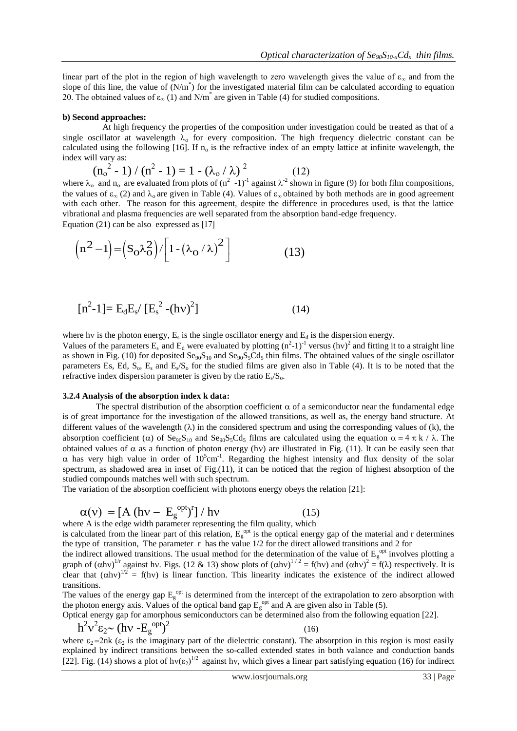linear part of the plot in the region of high wavelength to zero wavelength gives the value of  $\varepsilon_{\infty}$  and from the slope of this line, the value of  $(N/m^*)$  for the investigated material film can be calculated according to equation 20. The obtained values of  $\varepsilon_{\infty}$  (1) and N/m<sup>\*</sup> are given in Table (4) for studied compositions.

#### **b) Second approaches:**

 At high frequency the properties of the composition under investigation could be treated as that of a single oscillator at wavelength  $\lambda_0$  for every composition. The high frequency dielectric constant can be calculated using the following [16]. If  $n_0$  is the refractive index of an empty lattice at infinite wavelength, the index will vary as:

$$
(n_o^2 - 1) / (n^2 - 1) = 1 - (\lambda_o / \lambda)^2
$$
 (12)

where  $\lambda_0$  and  $n_0$  are evaluated from plots of  $(n^2 - 1)^{-1}$  against  $\lambda^{-2}$  shown in figure (9) for both film compositions, the values of  $\epsilon_{\infty}$  (2) and  $\lambda_{0}$  are given in Table (4). Values of  $\epsilon_{\infty}$  obtained by both methods are in good agreement with each other. The reason for this agreement, despite the difference in procedures used, is that the lattice vibrational and plasma frequencies are well separated from the absorption band-edge frequency.

Equation (21) can be also expressed as [17]  
\n
$$
\left(n^2 - 1\right) = \left(S_O \lambda_O^2\right) / \left[1 - \left(\lambda_O / \lambda\right)^2\right]
$$
\n(13)

$$
[n^{2}-1] = E_{d}E_{s}/[E_{s}^{2}-(hv)^{2}]
$$
 (14)

where hv is the photon energy,  $E_s$  is the single oscillator energy and  $E_d$  is the dispersion energy.

Values of the parameters  $E_s$  and  $E_d$  were evaluated by plotting  $(n^2-1)^{-1}$  versus  $(hv)^2$  and fitting it to a straight line as shown in Fig. (10) for deposited  $\text{Se}_{90}\text{S}_{10}$  and  $\text{Se}_{90}\text{S}_5\text{Cd}_5$  thin films. The obtained values of the single oscillator parameters Es, Ed,  $S_0$ ,  $E_s$  and  $E_s/S_0$  for the studied films are given also in Table (4). It is to be noted that the refractive index dispersion parameter is given by the ratio  $E_s/S_o$ .

#### **3.2.4 Analysis of the absorption index k data:**

 $\left[ n^2-1 \right] = \left[ S_0 \lambda_0^2 \right] / \left[ 1 - (\lambda_0 / \lambda)^2 \right]$  (13)<br>  $\left[ n^2-1 \right] = E_0 E_0 / \left[ E_0^2 - (\hbar v)^2 \right]$  (14)<br>  $\left[ n^2-1 \right] = E_0 E_0 / \left[ E_0^2 - (\hbar v)^2 \right]$  (14)<br>  $\left[ n^2-1 \right] = E_0 E_0 / \left[ E_0^2 - (\hbar v)^2 \right]$  (14)<br>  $\left[ n^2 - 1 \right] = E_0 E_0 / \left[ n^2 -$ The spectral distribution of the absorption coefficient  $\alpha$  of a semiconductor near the fundamental edge is of great importance for the investigation of the allowed transitions, as well as, the energy band structure. At different values of the wavelength  $(\lambda)$  in the considered spectrum and using the corresponding values of (k), the absorption coefficient ( $\alpha$ ) of Se<sub>90</sub>S<sub>10</sub> and Se<sub>90</sub>S<sub>5</sub>Cd<sub>5</sub> films are calculated using the equation  $\alpha = 4 \pi k / \lambda$ . The obtained values of  $\alpha$  as a function of photon energy (hy) are illustrated in Fig. (11). It can be easily seen that  $\alpha$  has very high value in order of  $10^5$ cm<sup>-1</sup>. Regarding the highest intensity and flux density of the solar spectrum, as shadowed area in inset of Fig.(11), it can be noticed that the region of highest absorption of the studied compounds matches well with such spectrum.

The variation of the absorption coefficient with photons energy obeys the relation [21]:

$$
\alpha(v) = [A (hv - E_g^{\text{opt}})^r] / hv \qquad (15)
$$

where A is the edge width parameter representing the film quality, which

is calculated from the linear part of this relation,  $E<sub>g</sub>^{opt}$  is the optical energy gap of the material and r determines the type of transition, The parameter r has the value 1/2 for the direct allowed transitions and 2 for

the indirect allowed transitions. The usual method for the determination of the value of  $E_g^{opt}$  involves plotting a graph of  $(\alpha h v)^{1/r}$  against hv. Figs. (12 & 13) show plots of  $(\alpha h v)^{1/2} = f(hv)$  and  $(\alpha h v)^2 = f(\lambda)$  respectively. It is clear that  $(\alpha h v)^{1/2} = f(hv)$  is linear function. This linearity indicates the existence of the indirect allowed transitions.

The values of the energy gap  $E_g^{\text{opt}}$  is determined from the intercept of the extrapolation to zero absorption with the photon energy axis. Values of the optical band gap  $E<sub>g</sub>$ <sup>opt</sup> and A are given also in Table (5).

Optical energy gap for amorphous semiconductors can be determined also from the following equation [22].

$$
h^2 v^2 \varepsilon_2 \sim (h v - E_g^{\text{opt}})^2 \tag{16}
$$

where  $\varepsilon_2 = 2nk$  ( $\varepsilon_2$  is the imaginary part of the dielectric constant). The absorption in this region is most easily explained by indirect transitions between the so-called extended states in both valance and conduction bands [22]. Fig. (14) shows a plot of  $hv(\epsilon_2)^{1/2}$  against hv, which gives a linear part satisfying equation (16) for indirect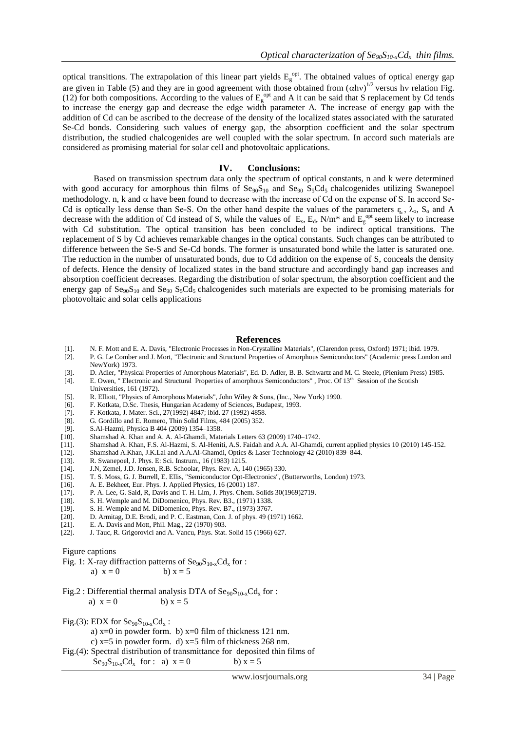optical transitions. The extrapolation of this linear part yields  $E_g^{opt}$ . The obtained values of optical energy gap are given in Table (5) and they are in good agreement with those obtained from  $(\alpha hv)^{1/2}$  versus hv relation Fig. (12) for both compositions. According to the values of  $E<sub>g</sub>$ <sup>opt</sup> and A it can be said that S replacement by Cd tends to increase the energy gap and decrease the edge width parameter A. The increase of energy gap with the addition of Cd can be ascribed to the decrease of the density of the localized states associated with the saturated Se-Cd bonds. Considering such values of energy gap, the absorption coefficient and the solar spectrum distribution, the studied chalcogenides are well coupled with the solar spectrum. In accord such materials are considered as promising material for solar cell and photovoltaic applications.

### **IV. Conclusions:**

Based on transmission spectrum data only the spectrum of optical constants, n and k were determined with good accuracy for amorphous thin films of  $\text{Se}_{90}\text{S}_{10}$  and  $\text{Se}_{90}\text{S}_{5}\text{Cd}_{5}$  chalcogenides utilizing Swanepoel methodology. n, k and  $\alpha$  have been found to decrease with the increase of Cd on the expense of S. In accord Se-Cd is optically less dense than Se-S. On the other hand despite the values of the parameters  $\varepsilon$ ,  $\lambda_0$ ,  $S_0$  and A decrease with the addition of Cd instead of S, while the values of  $E_s$ ,  $E_d$ , N/m<sup>\*</sup> and  $E_g^{opt}$  seem likely to increase with Cd substitution. The optical transition has been concluded to be indirect optical transitions. The replacement of S by Cd achieves remarkable changes in the optical constants. Such changes can be attributed to difference between the Se-S and Se-Cd bonds. The former is unsaturated bond while the latter is saturated one. The reduction in the number of unsaturated bonds, due to Cd addition on the expense of S, conceals the density of defects. Hence the density of localized states in the band structure and accordingly band gap increases and absorption coefficient decreases. Regarding the distribution of solar spectrum, the absorption coefficient and the energy gap of  $\text{Se}_{90}\text{S}_{10}$  and  $\text{Se}_{90}\text{S}_{5}\text{Cd}_{5}$  chalcogenides such materials are expected to be promising materials for photovoltaic and solar cells applications

#### **References**

- [1]. N. F. Mott and E. A. Davis, "Electronic Processes in Non-Crystalline Materials", (Clarendon press, Oxford) 1971; ibid. 1979.
- [2]. P. G. Le Comber and J. Mort, "Electronic and Structural Properties of Amorphous Semiconductors" (Academic press London and NewYork) 1973.
- [3]. D. Adler, "Physical Properties of Amorphous Materials", Ed. D. Adler, B. B. Schwartz and M. C. Steele, (Plenium Press) 1985.
- [4]. E. Owen, " Electronic and Structural Properties of amorphous Semiconductors", Proc. Of 13<sup>th</sup> Session of the Scotish Universities, 161 (1972).
- [5]. R. Elliott, "Physics of Amorphous Materials", John Wiley & Sons, (Inc., New York) 1990.
- [6]. F. Kotkata, D.Sc. Thesis, Hungarian Academy of Sciences, Budapest, 1993.
- [7]. F. Kotkata, J. Mater. Sci., 27(1992) 4847; ibid. 27 (1992) 4858.
- [8]. G. Gordillo and E. Romero, Thin Solid Films, 484 (2005) 352.<br>[9]. S.Al-Hazmi, Physica B 404 (2009) 1354–1358.
- [9]. S.Al-Hazmi, Physica B 404 (2009) 1354–1358.<br>[10]. Shamshad A. Khan and A. A. Al-Ghamdi, Mate
- Shamshad A. Khan and A. A. Al-Ghamdi, Materials Letters 63 (2009) 1740–1742.
- [11]. Shamshad A. Khan, F.S. Al-Hazmi, S. Al-Heniti, A.S. Faidah and A.A. Al-Ghamdi, current applied physics 10 (2010) 145-152.
- [12]. Shamshad A.Khan, J.K.Lal and A.A.Al-Ghamdi, Optics & Laser Technology 42 (2010) 839–844.<br>[13]. R. Swanepoel, J. Phys. E: Sci. Instrum., 16 (1983) 1215.
- R. Swanepoel, J. Phys. E: Sci. Instrum., 16 (1983) 1215.
- [14]. J.N, Zemel, J.D. Jensen, R.B. Schoolar, Phys. Rev. A, 140 (1965) 330.
- [15]. T. S. Moss, G. J. Burrell, E. Ellis, "Semiconductor Opt-Electronics", (Butterworths, London) 1973.
- A. E. Bekheet, Eur. Phys. J. Applied Physics, 16 (2001) 187.
- [17]. P. A. Lee, G. Said, R, Davis and T. H. Lim, J. Phys. Chem. Solids 30(1969)2719.
- 
- [18]. S. H. Wemple and M. DiDomenico, Phys. Rev. B3., (1971) 1338. [19]. S. H. Wemple and M. DiDomenico, Phys. Rev. B7., (1973) 3767.
- [19]. S. H. Wemple and M. DiDomenico, Phys. Rev. B7., (1973) 3767.<br>[20]. D. Armitag, D.E. Brodi, and P. C. Eastman, Con. J. of phys. 49 (1 D. Armitag, D.E. Brodi, and P. C. Eastman, Con. J. of phys. 49 (1971) 1662.
- [21]. E. A. Davis and Mott, Phil. Mag., 22 (1970) 903.
- [22]. J. Tauc, R. Grigorovici and A. Vancu, Phys. Stat. Solid 15 (1966) 627.

Figure captions

Fig. 1: X-ray diffraction patterns of  $\text{Se}_{90}\text{S}_{10-x}\text{Cd}_x$  for :

a)  $x = 0$  b)  $x = 5$ 

Fig.2 : Differential thermal analysis DTA of  $\text{Seq}_9\text{S}_{10-x}\text{Cd}_x$  for : a)  $x = 0$  b)  $x = 5$ 

Fig.(3): EDX for  $\text{Se}_{90}\text{S}_{10-x}\text{Cd}_x$ :

a) x=0 in powder form. b) x=0 film of thickness 121 nm.

c)  $x=5$  in powder form. d)  $x=5$  film of thickness 268 nm.

Fig.(4): Spectral distribution of transmittance for deposited thin films of

 $Se_{90}S_{10-x}Cd_x$  for : a)  $x = 0$  b)  $x = 5$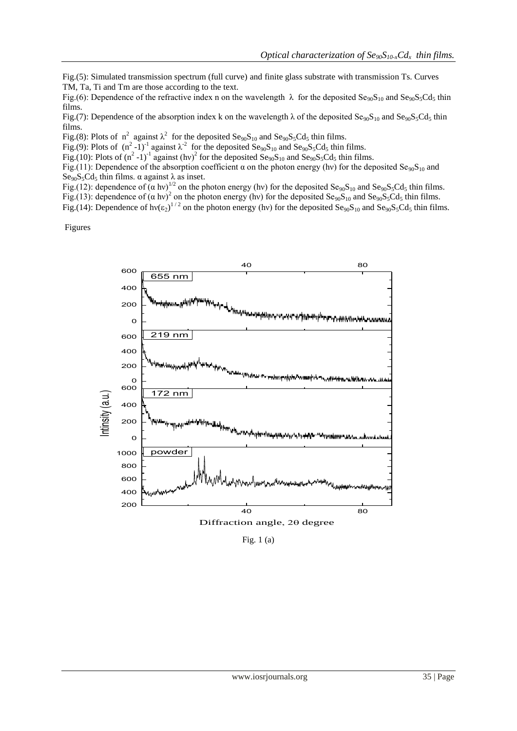Fig.(5): Simulated transmission spectrum (full curve) and finite glass substrate with transmission Ts. Curves TM, Ta, Ti and Tm are those according to the text.

Fig.(6): Dependence of the refractive index n on the wavelength  $\lambda$  for the deposited  $Se_{90}S_{10}$  and  $Se_{90}S_5Cd_5$  thin films.

Fig.(7): Dependence of the absorption index k on the wavelength  $\lambda$  of the deposited  $\text{Se}_{90}\text{S}_{10}$  and  $\text{Se}_{90}\text{S}_{5}\text{Cd}_{5}$  thin films.

Fig.(8): Plots of  $n^2$  against  $\lambda^2$  for the deposited Se<sub>90</sub>S<sub>10</sub> and Se<sub>90</sub>S<sub>5</sub>Cd<sub>5</sub> thin films.

Fig.(9): Plots of  $(n^2 - 1)^{-1}$  against  $\lambda^{-2}$  for the deposited Se<sub>90</sub>S<sub>10</sub> and Se<sub>90</sub>S<sub>5</sub>Cd<sub>5</sub> thin films.

Fig.(10): Plots of  $(n^2 - 1)^{-1}$  against  $(hv)^2$  for the deposited Se<sub>90</sub>S<sub>10</sub> and Se<sub>90</sub>S<sub>5</sub>Cd<sub>5</sub> thin films.

Fig.(11): Dependence of the absorption coefficient  $\alpha$  on the photon energy (hv) for the deposited  $\text{Se}_{90}\text{S}_{10}$  and Se<sub>90</sub>S<sub>5</sub>Cd<sub>5</sub> thin films. α against  $\lambda$  as inset.

Fig.(12): dependence of  $(\alpha \text{ hv})^{1/2}$  on the photon energy (hv) for the deposited Se<sub>90</sub>S<sub>10</sub> and Se<sub>90</sub>S<sub>5</sub>Cd<sub>5</sub> thin films.

Fig.(13): dependence of  $(\alpha \text{ hv})^2$  on the photon energy (hv) for the deposited Se<sub>90</sub>S<sub>10</sub> and Se<sub>90</sub>S<sub>5</sub>Cd<sub>5</sub> thin films.

Fig.(14): Dependence of hv( $\epsilon_2$ )<sup>1/2</sup> on the photon energy (hv) for the deposited Se<sub>90</sub>S<sub>10</sub> and Se<sub>90</sub>S<sub>5</sub>Cd<sub>5</sub> thin films.

Figures



Diffraction angle,  $2\theta$  degree

Fig. 1 (a)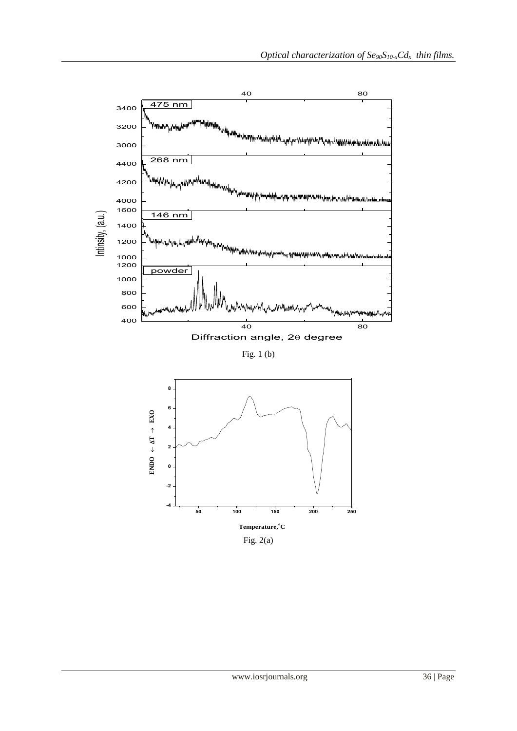

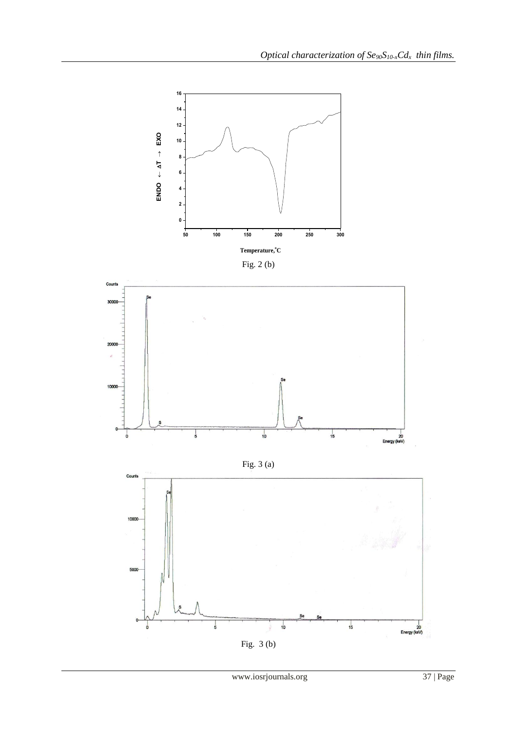



Fig. 3 (a)

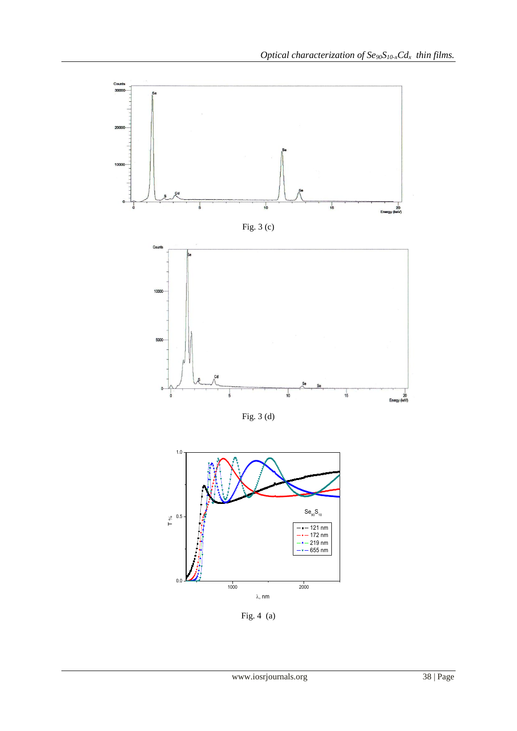

Fig. 3 (d)



Fig. 4 (a)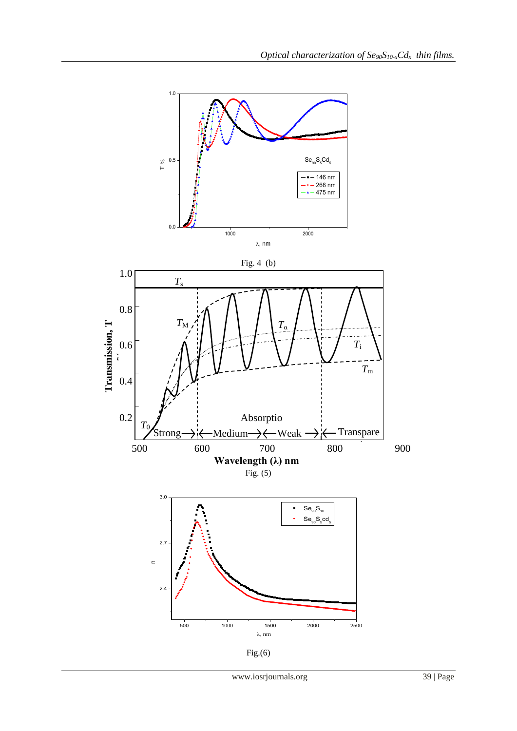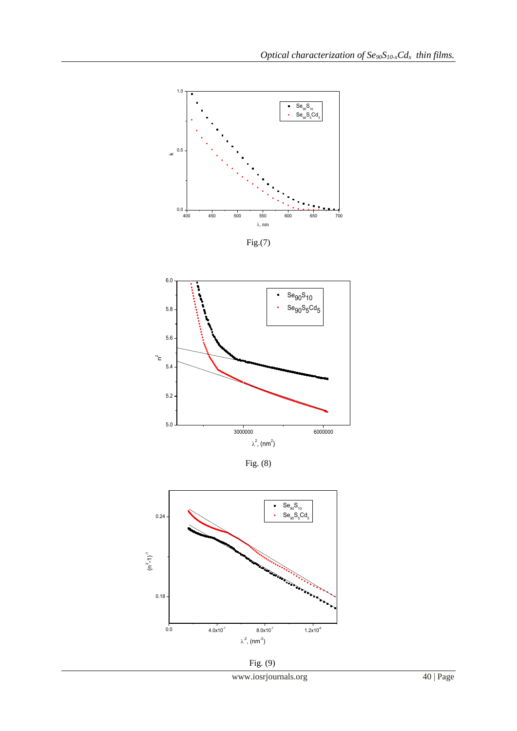

Fig.(7)



Fig. (8)



Fig. (9)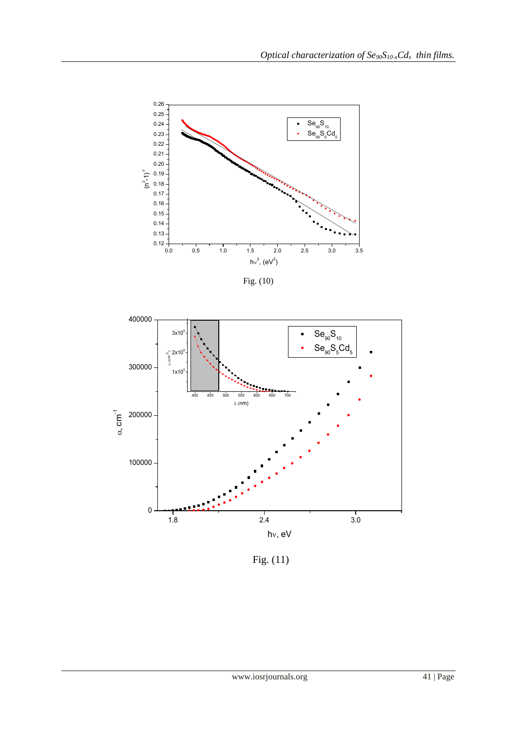

Fig. (10)



Fig. (11)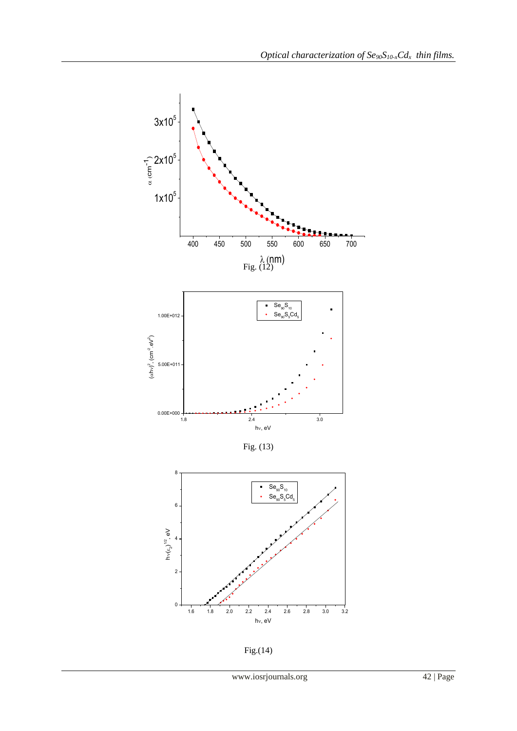



Fig.(14)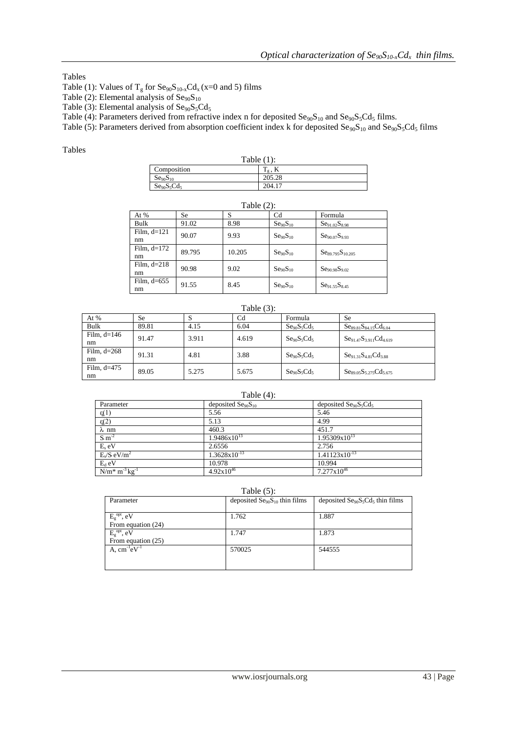# Tables

Table (1): Values of  $T_g$  for  $\text{Se}_{90}\text{S}_{10-x}\text{Cd}_x$  (x=0 and 5) films

Table (2): Elemental analysis of  $\text{Se}_{90}\text{S}_{10}$ 

Table (3): Elemental analysis of  $\text{Se}_{90}\text{S}_{5}\text{Cd}_{5}$ 

Table (4): Parameters derived from refractive index n for deposited  $\text{Se}_{90}\text{S}_{10}$  and  $\text{Se}_{90}\text{S}_{5}\text{Cd}_{5}$  films.

Table (5): Parameters derived from absorption coefficient index k for deposited  $\text{Se}_{90}\text{S}_{10}$  and  $\text{Se}_{90}\text{S}_5\text{Cd}_5$  films

# Tables

| Table $(1)$ :                    |                                      |  |  |
|----------------------------------|--------------------------------------|--|--|
| Composition                      | m<br>$\mathbf{1}_g$ , $\mathbf{N}_g$ |  |  |
| Se <sub>90</sub> S <sub>10</sub> | 205.28                               |  |  |
| $Se90S5Cd5$                      | 204.1                                |  |  |

| Table $(2)$ : |        |        |                                  |                                       |
|---------------|--------|--------|----------------------------------|---------------------------------------|
| At $%$        | Se     | S      | Cd                               | Formula                               |
| Bulk          | 91.02  | 8.98   | $\text{Se}_{90}\text{S}_{10}$    | Se <sub>91.02</sub> S <sub>8.98</sub> |
| Film, $d=121$ | 90.07  | 9.93   | $\text{Se}_{90}\text{S}_{10}$    | Se <sub>90.07</sub> S <sub>9.93</sub> |
| nm            |        |        |                                  |                                       |
| Film, $d=172$ | 89.795 | 10.205 | $\text{Se}_{90}\text{S}_{10}$    | $Se_{89.795}S_{10.205}$               |
| nm            |        |        |                                  |                                       |
| Film, $d=218$ | 90.98  | 9.02   | $\text{Se}_{90}\text{S}_{10}$    | Se <sub>90.98</sub> S <sub>9.02</sub> |
| nm            |        |        |                                  |                                       |
| Film, $d=655$ | 91.55  | 8.45   | Se <sub>90</sub> S <sub>10</sub> | Se <sub>91.55</sub> S <sub>8.45</sub> |
| nm            |        |        |                                  |                                       |

| Table $(3)$ :       |       |       |                |             |                                |
|---------------------|-------|-------|----------------|-------------|--------------------------------|
| At %                | Se    | د     | C <sub>d</sub> | Formula     | <b>Se</b>                      |
| Bulk                | 89.81 | 4.15  | 6.04           | $Se90S5Cd5$ | $Ses_{9.81}S_{84.15}Cd_{6.04}$ |
| Film. $d=146$<br>nm | 91.47 | 3.911 | 4.619          | $Se90S5Cd5$ | $Se91.47S3.911Cd4.619$         |
| Film. $d=268$       | 91.31 | 4.81  | 3.88           | $Se90S5Cd5$ | $Se91.31S4.81Cd3.88$           |
| nm                  |       |       |                |             |                                |
| Film. $d=475$<br>nm | 89.05 | 5.275 | 5.675          | $Se90S5Cd5$ | $S_{89.05}S_{5.275}C_{45.675}$ |

# Table (4):

| Parameter                 | deposited $\text{Se}_{90}\text{S}_{10}$ | deposited $\text{Se}_{90}\text{S}_{5}\text{Cd}_{5}$ |
|---------------------------|-----------------------------------------|-----------------------------------------------------|
| $\epsilon(1)$             | 5.56                                    | 5.46                                                |
| $\varepsilon$ (2)         | 5.13                                    | 4.99                                                |
| $\lambda$ nm              | 460.3                                   | 451.7                                               |
| $S \, \text{m}^{-2}$      | $1.9486x10^{13}$                        | $1.95309x10^{13}$                                   |
| $Es$ eV                   | 2.6556                                  | 2.756                                               |
| $E_s/S \overline{eV/m^2}$ | $1.3628 \times 10^{-13}$                | $1.41123x10^{-13}$                                  |
| $E_d$ eV                  | 10.978                                  | 10.994                                              |
| $N/m^* m^{-3} kg^{-1}$    | $4.92x10^{46}$                          | $7.277 \times 10^{46}$                              |

# Table (5):

| Parameter                  | deposited $\text{Se}_{90}\text{S}_{10}$ thin films | deposited $\text{Se}_{90}\text{S}_5\text{Cd}_5$ thin films |
|----------------------------|----------------------------------------------------|------------------------------------------------------------|
|                            |                                                    |                                                            |
| $E_{\rm P}^{\rm opt}$ , eV | 1.762                                              | 1.887                                                      |
| From equation (24)         |                                                    |                                                            |
| $E_{g}^{opt}$ , eV         | 1.747                                              | 1.873                                                      |
| From equation (25)         |                                                    |                                                            |
| A. $cm^{-1}eV^{-1}$        | 570025                                             | 544555                                                     |
|                            |                                                    |                                                            |
|                            |                                                    |                                                            |